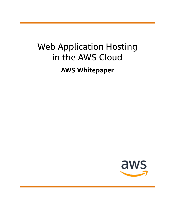# Web Application Hosting in the AWS Cloud **AWS Whitepaper**

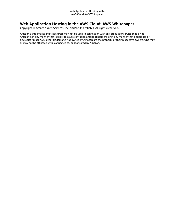#### **Web Application Hosting in the AWS Cloud: AWS Whitepaper**

Copyright © Amazon Web Services, Inc. and/or its affiliates. All rights reserved.

Amazon's trademarks and trade dress may not be used in connection with any product or service that is not Amazon's, in any manner that is likely to cause confusion among customers, or in any manner that disparages or discredits Amazon. All other trademarks not owned by Amazon are the property of their respective owners, who may or may not be affiliated with, connected to, or sponsored by Amazon.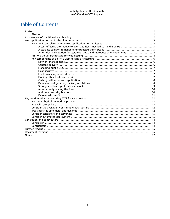## **Table of Contents**

| An on-demand solution for test, load, beta, and reproduction environments  4 |  |
|------------------------------------------------------------------------------|--|
|                                                                              |  |
|                                                                              |  |
|                                                                              |  |
|                                                                              |  |
|                                                                              |  |
|                                                                              |  |
|                                                                              |  |
|                                                                              |  |
|                                                                              |  |
|                                                                              |  |
|                                                                              |  |
|                                                                              |  |
|                                                                              |  |
|                                                                              |  |
|                                                                              |  |
|                                                                              |  |
|                                                                              |  |
|                                                                              |  |
|                                                                              |  |
|                                                                              |  |
|                                                                              |  |
|                                                                              |  |
|                                                                              |  |
|                                                                              |  |
|                                                                              |  |
|                                                                              |  |
|                                                                              |  |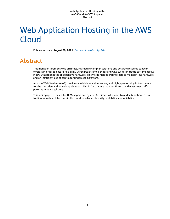# <span id="page-3-0"></span>Web Application Hosting in the AWS Cloud

Publication date: **August 20, 2021** (*[Document revisions](#page-18-0)* [\(p. 16\)\)](#page-18-0)

## <span id="page-3-1"></span>Abstract

Traditional on-premises web architectures require complex solutions and accurate reserved capacity forecast in order to ensure reliability. Dense peak traffic periods and wild swings in traffic patterns result in low utilization rates of expensive hardware. This yields high operating costs to maintain idle hardware, and an inefficient use of capital for underused hardware.

Amazon Web Services (AWS) provides a reliable, scalable, secure, and highly performing infrastructure for the most demanding web applications. This infrastructure matches IT costs with customer traffic patterns in near-real time.

This whitepaper is meant for IT Managers and System Architects who want to understand how to run traditional web architectures in the cloud to achieve elasticity, scalability, and reliability.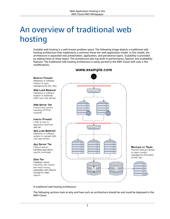# <span id="page-4-0"></span>An overview of traditional web hosting

Scalable web hosting is a well-known problem space. The following image depicts a traditional web hosting architecture that implements a common three-tier web application model. In this model, the architecture is separated into presentation, application, and persistence layers. Scalability is provided by adding hosts at these layers. The architecture also has built-in performance, failover, and availability features. The traditional web hosting architecture is easily ported to the AWS Cloud with only a few modifications.



#### www.example.com

*A traditional web hosting architecture*

requests

web tier

Data Tier

objects

The following sections look at why and how such an architecture should be and could be deployed in the AWS Cloud.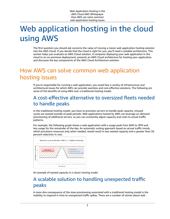# <span id="page-5-0"></span>Web application hosting in the cloud using AWS

The first question you should ask concerns the value of moving a classic web application hosting solution into the AWS Cloud. If you decide that the cloud is right for you, you'll need a suitable architecture. This section helps you evaluate an AWS Cloud solution. It compares deploying your web application in the cloud to an on-premises deployment, presents an AWS Cloud architecture for hosting your application, and discusses the key components of the AWS Cloud Architecture solution.

# <span id="page-5-1"></span>How AWS can solve common web application hosting issues

If you're responsible for running a web application, you could face a variety of infrastructure and architectural issues for which AWS can provide seamless and cost-effective solutions. The following are some of the benefits of using AWS over a traditional hosting model.

### <span id="page-5-2"></span>A cost-effective alternative to oversized fleets needed to handle peaks

In the traditional hosting model, you have to provision servers to handle peak capacity. Unused cycles are wasted outside of peak periods. Web applications hosted by AWS can leverage on-demand provisioning of additional servers, so you can constantly adjust capacity and costs to actual traffic patterns.

For example, the following graph shows a web application with a usage peak from 9AM to 3PM and less usage for the remainder of the day. An automatic scaling approach based on actual traffic trends, which provisions resources only when needed, would result in less wasted capacity and a greater than 50 percent reduction in cost.



*An example of wasted capacity in a classic hosting model*

### <span id="page-5-3"></span>A scalable solution to handling unexpected traffic peaks

A more dire consequence of the slow provisioning associated with a traditional hosting model is the inability to respond in time to unexpected traffic spikes. There are a number of stories about web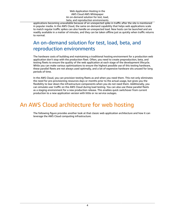Web Application Hosting in the AWS Cloud AWS Whitepaper An on-demand solution for test, load, beta, and reproduction environments

applications becoming unavailable because of an unexpected spike in traffic after the site is mentioned in popular media. In the AWS Cloud, the same on-demand capability that helps web applications scale to match regular traffic spikes can also handle an unexpected load. New hosts can be launched and are readily available in a matter of minutes, and they can be taken offline just as quickly when traffic returns to normal.

### <span id="page-6-0"></span>An on-demand solution for test, load, beta, and reproduction environments

The hardware costs of building and maintaining a traditional hosting environment for a production web application don't stop with the production fleet. Often, you need to create preproduction, beta, and testing fleets to ensure the quality of the web application at each stage of the development lifecycle. While you can make various optimizations to ensure the highest possible use of this testing hardware, these parallel fleets are not always used optimally, and a lot of expensive hardware sits unused for long periods of time.

In the AWS Cloud, you can provision testing fleets as and when you need them. This not only eliminates the need for pre-provisioning resources days or months prior to the actual usage, but gives you the flexibility to tear down the infrastructure components when you do not need them. Additionally, you can simulate user traffic on the AWS Cloud during load testing. You can also use these parallel fleets as a staging environment for a new production release. This enables quick switchover from current production to a new application version with little or no service outages.

# <span id="page-6-1"></span>An AWS Cloud architecture for web hosting

The following figure provides another look at that classic web application architecture and how it can leverage the AWS Cloud computing infrastructure.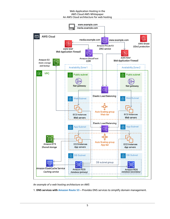#### Web Application Hosting in the AWS Cloud AWS Whitepaper An AWS Cloud architecture for web hosting



*An example of a web hosting architecture on AWS*

1. **DNS services with [Amazon](https://aws.amazon.com/route53/) Route 53** – Provides DNS services to simplify domain management.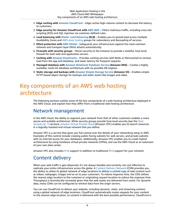- 2. **Edge caching with Amazon [CloudFront](https://aws.amazon.com/cloudfront/)** Edge caches high-volume content to decrease the latency to customers.
- 3. **Edge security for Amazon CloudFront with [AWS](https://aws.amazon.com/waf/) WAF** Filters malicious traffic, including cross site scripting (XSS) and SQL injection via customer-defined rules.
- 4. **Load balancing with [Elastic Load Balancing](https://aws.amazon.com/elasticloadbalancing/) (ELB)** Enables you to spread load across multiple Availability Zones and AWS Auto [Scaling](https://aws.amazon.com/autoscaling/) groups for redundancy and decoupling of services.
- 5. **DDoS protection with AWS [Shield](https://aws.amazon.com/shield/)** Safeguards your infrastructure against the most common network and transport layer DDoS attacks automatically.
- 6. **Firewalls with security groups** Moves security to the instance to provide a stateful, host-level firewall for both web and application servers.
- 7. **Caching with Amazon [ElastiCache](https://aws.amazon.com/elasticache/)** Provides caching services with Redis or Memcached to remove load from the app and database, and lower latency for frequent requests.
- 8. **Managed database with Amazon [Relational](https://aws.amazon.com/rds/) Database Service (Amazon RDS)** Creates a highly available, multi-AZ database architecture with six possible DB engines.
- 9. **Static storage and backups with [Amazon](https://aws.amazon.com/s3/) Simple Storage Service (Amazon S3)** Enables simple HTTP-based object storage for backups and static assets like images and video.

## <span id="page-8-0"></span>Key components of an AWS web hosting architecture

The following sections outline some of the key components of a web hosting architecture deployed in the AWS Cloud, and explain how they differ from a traditional web hosting architecture.

### <span id="page-8-1"></span>Network management

In the AWS Cloud, the ability to segment your network from that of other customers enables a more secure and scalable architecture. While security groups provide host-level security (see the [Host](#page-9-1) [Security \(p. 7\)](#page-9-1) section), [Amazon](http://aws.amazon.com/vpc/) Virtual Private Cloud (Amazon VPC) enables you to launch resources in a logically isolated and virtual network that you define.

Amazon VPC is a service that gives you full control over the details of your networking setup in AWS. Examples of this control include creating public-facing subnets for web servers, and private subnets with no internet access for your databases. Additionally, Amazon VPC enables you to create hybrid architectures by using hardware virtual private networks (VPNs), and use the AWS Cloud as an extension of your own data center.

Amazon VPC also includes [IPv6](https://en.wikipedia.org/wiki/IPv6) support in addition to traditional [IPv4](https://en.wikipedia.org/wiki/IPv4) support for your network.

### <span id="page-8-2"></span>Content delivery

When your web traffic is geo-dispersed, it's not always feasible and certainly not cost effective to replicate your entire infrastructure across the globe. A Content Delivery [Network](https://aws.amazon.com/caching/cdn/) (CDN) provides you the ability to utilize its global network of edge locations to deliver a cached copy of web content such as videos, webpages, images and so on to your customers. To reduce response time, the CDN utilizes the nearest edge location to the customer or originating request location to reduce the response time. Throughput is dramatically increased given that the web assets are delivered from cache. For dynamic data, many CDNs can be configured to retrieve data from the origin servers.

You can use CloudFront to deliver your website, including dynamic, static, and streaming content, using a global network of edge locations. CloudFront automatically routes requests for your content to the nearest edge location, so content is delivered with the best possible performance. CloudFront is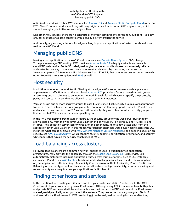optimized to work with other AWS services, like [Amazon](https://aws.amazon.com/s3/) S3 and Amazon Elastic [Compute](https://aws.amazon.com/ec2/) Cloud (Amazon EC2). CloudFront also works seamlessly with any origin server that is not an AWS origin server, which stores the original, definitive versions of your files.

Like other AWS services, there are no contracts or monthly commitments for using CloudFront – you pay only for as much or as little content as you actually deliver through the service.

Additionally, any existing solutions for edge caching in your web application infrastructure should work well in the AWS Cloud.

## <span id="page-9-0"></span>Managing public DNS

Moving a web application to the AWS Cloud requires some [Domain](https://aws.amazon.com/route53/what-is-dns/) Name System (DNS) changes. To help you manage DNS routing, AWS provides [Amazon](https://aws.amazon.com/route53/) Route 53, a highly available and scalable cloud DNS web service. Route 53 is designed to give developers and businesses an extremely reliable and cost-effective way to route end users to internet applications by translating names such as "www.example.com" into numeric IP addresses such as 192.0.2.1, that computers use to connect to each other. Route 53 is fully compliant with [IPv6](https://en.wikipedia.org/wiki/IPv6) as well.

## <span id="page-9-1"></span>Host security

In addition to inbound network traffic filtering at the edge, AWS also recommends web applications apply network traffic filtering at the host level. [Amazon](https://aws.amazon.com/ec2/) EC2 provides a feature named *security groups*. A security group is analogous to an inbound network firewall, for which you can specify the protocols, ports, and source IP ranges that are allowed to reach your EC2 instances.

You can assign one or more security groups to each EC2 instance. Each security group allows appropriate traffic in to each instance. Security groups can be configured so that only specific subnets, IP addresses, and resources have access to an EC2 instance. Alternatively, they can reference other security groups to limit access to EC2 instances that are in specific groups.

In the AWS web hosting architecture in Figure 3, the security group for the web server cluster might allow access only from the web-layer Load Balancer and only over TCP on ports 80 and 443 (HTTP and HTTPS). The application server security group, on the other hand, might allow access only from the application-layer Load Balancer. In this model, your support engineers would also need to access the EC2 instances, what can be achieved with AWS Systems [Manager](https://docs.aws.amazon.com/systems-manager/latest/userguide/session-manager.html) Session Manager. For a deeper discussion on security, see AWS Cloud [Security,](https://aws.amazon.com/security/) which contains security bulletins, certification information, and security whitepapers that explain the security capabilities of AWS.

## <span id="page-9-2"></span>Load balancing across clusters

Hardware load balancers are a common network appliance used in traditional web application architectures. AWS provides this capability through the [Elastic Load Balancing](http://aws.amazon.com/elasticloadbalancing/) (ELB) service. ELB automatically distributes incoming application traffic across multiple targets, such as EC2 instances, containers, IP addresses, AWS [Lambda](https://aws.amazon.com/lambda/) functions, and virtual appliances. It can handle the varying load of your application traffic in a single Availability Zone or across multiple Availability Zones. Elastic Load Balancing offers four types of load balancers that all feature the high availability, automatic scaling, and robust security necessary to make your applications fault tolerant.

## <span id="page-9-3"></span>Finding other hosts and services

In the traditional web hosting architecture, most of your hosts have static IP addresses. In the AWS Cloud, most of your hosts have dynamic IP addresses. Although every EC2 instance can have both public and private DNS entries and will be addressable over the internet, the DNS entries and the IP addresses are assigned dynamically when you launch the instance. They cannot be manually assigned. Static IP addresses (Elastic IP addresses in AWS terminology) can be assigned to running instances after they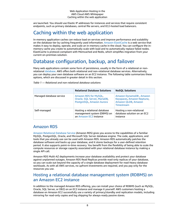are launched. You should use Elastic IP addresses for instances and services that require consistent endpoints, such as primary databases, central file servers, and EC2-hosted load balancers.

### <span id="page-10-0"></span>Caching within the web application

In-memory application caches can reduce load on services and improve performance and scalability on the database tier by caching frequently used information. Amazon [ElastiCache](http://aws.amazon.com/elasticache/) is a web service that makes it easy to deploy, operate, and scale an in-memory cache in the cloud. You can configure the inmemory cache you create to automatically scale with load and to automatically replace failed nodes. ElastiCache is protocol-compliant with Memcached and Redis, which simplifies migration from your current on-premises solution.

## <span id="page-10-1"></span>Database configuration, backup, and failover

Many web applications contain some form of persistence, usually in the form of a relational or nonrelational [database.](https://aws.amazon.com/products/databases/) AWS offers both relational and non-relational database services. Alternatively, you can deploy your own database software on an EC2 instance. The following table summarizes these options, which are discussed in greater detail in this section.

|                          | <b>Relational Database Solutions</b>                                                   | <b>NoSQL Solutions</b>                                                                     |
|--------------------------|----------------------------------------------------------------------------------------|--------------------------------------------------------------------------------------------|
| Managed database service | Amazon RDS for MySQL<br>Oracle, SQL Server, MariaDB,<br>PostgreSQL, Amazon Aurora      | Amazon DynamoDB, Amazon<br>Keyspaces, Amazon Neptune,<br>Amazon QLDB, Amazon<br>Timestream |
| Self-managed             | Hosting a relational database<br>management system (DBMS) on<br>an Amazon EC2 instance | Hosting a non-relational<br>database solution on an EC2<br>instance                        |

*Table 1 — Relational and non-relational database solutions*

#### Amazon RDS

Amazon [Relational](http://aws.amazon.com/rds/) Database Service (Amazon RDS) gives you access to the capabilities of a familiar MySQL, PostgreSQL, Oracle, and Microsoft SQL Server database engine. The code, applications, and tools that you already use can be used with Amazon RDS. Amazon RDS automatically patches the database software and backs up your database, and it stores backups for a user-defined retention period. It also supports point-in-time recovery. You benefit from the flexibility of being able to scale the compute resources or storage capacity associated with your relational database instance by making a single API call.

Amazon RDS Multi-AZ deployments increase your database availability and protect your database against unplanned outages. Amazon RDS Read Replicas provide read-only replicas of your database, so you can scale out beyond the capacity of a single database deployment for read-heavy database workloads. As with all AWS services, no upfront investments are required, and you pay only for the resources you use.

#### Hosting a relational database management system (RDBMS) on an Amazon EC2 instance

In addition to the managed Amazon RDS offering, you can install your choice of RDBMS (such as MySQL, Oracle, SQL Server, or DB2) on an EC2 instance and manage it yourself. AWS customers hosting a database on Amazon EC2 successfully use a variety of primary/standby and replication models, including mirroring for read-only copies and log shipping for always-ready passive slaves.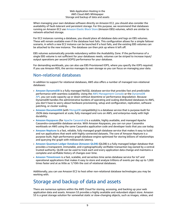When managing your own database software directly on Amazon EC2, you should also consider the availability of fault-tolerant and persistent storage. For this purpose, we recommend that databases running on Amazon EC2 use [Amazon](http://aws.amazon.com/ebs/) Elastic Block Store (Amazon EBS) volumes, which are similar to network-attached storage.

For EC2 instances running a database, you should place all database data and logs on EBS volumes. These will remain available even if the database host fails. This configuration allows for a simple failover scenario, in which a new EC2 instance can be launched if a host fails, and the existing EBS volumes can be attached to the new instance. The database can then pick up where it left off.

EBS volumes automatically provide redundancy within the Availability Zone. If the performance of a single EBS volume is not sufficient for your databases needs, volumes can be striped to increase input/ output operations per second (IOPS) performance for your database.

For demanding workloads, you can also use EBS Provisioned IOPS, where you specify the IOPS required. If you use Amazon RDS, the service manages its own storage so you can focus on managing your data.

#### Non-relational databases

In addition to support for relational databases, AWS also offers a number of managed non-relational databases:

- **Amazon [DynamoDB](https://aws.amazon.com/dynamodb/)** is a fully managed NoSQL database service that provides fast and predictable performance with seamless scalability. Using the AWS [Management](https://aws.amazon.com/console/) Console or the [DynamoDB](https://docs.aws.amazon.com/amazondynamodb/latest/developerguide/HowItWorks.API.html) [API](https://docs.aws.amazon.com/amazondynamodb/latest/developerguide/HowItWorks.API.html), you can scale capacity up or down without downtime or performance degradation. Because DynamoDB handles the administrative burdens of operating and scaling distributed databases to AWS, you don't have to worry about hardware provisioning, setup and configuration, replication, software patching, or cluster scaling.
- **Amazon [DocumentDB](https://aws.amazon.com/documentdb/)** (with [MongoDB](https://aws.amazon.com/documentdb/what-is-mongodb/) compatibility) is a database service that is purpose-built for JSON data management at scale, fully managed and runs on AWS, and enterprise-ready with high durability.
- **Amazon [Keyspaces](https://aws.amazon.com/keyspaces/)** (for [Apache Cassandra](https://cassandra.apache.org/_/index.html)) is a scalable, highly available, and managed Apache Cassandra-compatible database service. With Amazon Keyspaces, you can run your Cassandra workloads on AWS using the same Cassandra application code and developer tools that you use today.
- **Amazon [Neptune](https://aws.amazon.com/neptune)** is a fast, reliable, fully managed graph database service that makes it easy to build and run applications that work with highly connected datasets. The core of Amazon Neptune is a purpose-built, high-performance graph database engine optimized for storing billions of relationships and querying the graph with milliseconds latency.
- **Amazon [Quantum](https://aws.amazon.com/qldb/) Ledger Database (Amazon QLDB)** (QLDB) is a fully managed ledger database that provides a transparent, immutable, and cryptographically verifiable transaction log owned by a central trusted authority. QLDB can be used to track each and every application data change and maintains a complete and verifiable history of changes over time.
- **Amazon [Timestream](https://aws.amazon.com/timestream)** is a fast, scalable, and serverless time series database service for IoT and operational applications that makes it easy to store and analyze trillions of events per day up to 1,000 times faster and at as little as 1/10th the cost of relational databases.

Additionally, you can use Amazon EC2 to host other non-relational database technologies you may be working with.

### <span id="page-11-0"></span>Storage and backup of data and assets

There are numerous options within the AWS Cloud for storing, accessing, and backing up your web application data and assets. Amazon S3 provides a highly available and redundant object store. Amazon S3 is a great storage solution for somewhat static or slow-changing objects, such as images, videos, and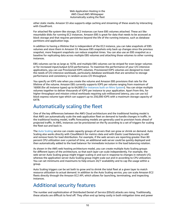other static media. Amazon S3 also supports edge caching and streaming of these assets by interacting with CloudFront.

For attached file system-like storage, EC2 instances can have EBS volumes attached. These act like mountable disks for running EC2 instances. Amazon EBS is great for data that needs to be accessed as block storage and that requires persistence beyond the life of the running instance, such as database partitions and application logs.

In addition to having a lifetime that is independent of the EC2 instance, you can take snapshots of EBS volumes and store them in Amazon S3. Because EBS snapshots only back up changes since the previous snapshot, more frequent snapshots can reduce snapshot times. You can also use an EBS snapshot as a baseline for replicating data across multiple EBS volumes and attaching those volumes to other running instances.

EBS volumes can be as large as 16TB, and multiple EBS volumes can be striped for even larger volumes or for increased input/output (I/O) performance. To maximize the performance of your I/O-intensive applications, you can use Provisioned IOPS volumes. Provisioned IOPS volumes are designed to meet the needs of I/O-intensive workloads, particularly database workloads that are sensitive to storage performance and consistency in random access I/O throughput.

You specify an IOPS rate when you create the volume and Amazon EBS provisions that rate for the lifetime of the volume. Amazon EBS currently supports IOPS per volume ranging from maximum of 16000 (for all instance types) up to 64,000 (for [instances](https://docs.aws.amazon.com/AWSEC2/latest/UserGuide/instance-types.html#ec2-nitro-instances) built on Nitro System). You can stripe multiple volumes together to deliver thousands of IOPS per instance to your application. Apart from this, for higher throughput and mission critical workloads requiring sub-millisecond latency, you can use io2 block express volume type which can support up-to 256,000 IOPS with a maximum storage capacity of 64TB.

### <span id="page-12-0"></span>Automatically scaling the fleet

One of the key differences between the AWS Cloud architecture and the traditional hosting model is that AWS can automatically scale the web application fleet on demand to handle changes in traffic. In the traditional hosting model, traffic forecasting models are generally used to provision hosts ahead of projected traffic. In AWS, instances can be provisioned on the fly according to a set of triggers for scaling the fleet out and back in.

The [Auto Scaling](https://aws.amazon.com/autoscaling/) service can create capacity groups of servers that can grow or shrink on demand. Auto Scaling also works directly with CloudWatch for metrics data and with Elastic Load Balancing to add and remove hosts for load distribution. For example, if the web servers are reporting greater than 80 percent CPU utilization over a period of time, an additional web server could be quickly deployed and then automatically added to the load balancer for immediate inclusion in the load balancing rotation.

As shown in the AWS web hosting architecture model, you can create multiple Auto Scaling groups for different layers of the architecture, so that each layer can scale independently. For example, the web server Auto Scaling group might trigger scaling in and out in response to changes in network I/O, whereas the application server Auto Scaling group might scale out and in according to CPU utilization. You can set minimums and maximums to help ensure 24/7 availability and to cap the usage within a group.

Auto Scaling triggers can be set both to grow and to shrink the total fleet at a given layer to match resource utilization to actual demand. In addition to the Auto Scaling service, you can scale Amazon EC2 fleets directly through the Amazon EC2 API, which allows for launching, terminating, and inspecting instances.

## <span id="page-12-1"></span>Additional security features

The number and sophistication of Distributed Denial of Service (DDoS) attacks are rising. Traditionally, these attacks are difficult to fend off. They often end up being costly in both mitigation time and power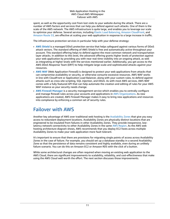spent, as well as the opportunity cost from lost visits to your website during the attack. There are a number of AWS factors and services that can help you defend against such attacks. One of them is the scale of the AWS network. The AWS infrastructure is quite large, and enables you to leverage our scale to optimize your defense. Several services, including [Elastic Load Balancing](https://aws.amazon.com/elasticloadbalancing/), Amazon [CloudFront,](https://aws.amazon.com/cloudfront/) and [Amazon](https://aws.amazon.com/route53/) Route 53, are effective at scaling your web application in response to a large increase in traffic.

The infrastructure protection services in particular help with your defense strategy:

- **AWS [Shield](https://aws.amazon.com/shield/)** is a managed DDoS protection service that helps safeguard against various forms of DDoS attack vectors. The standard offering of AWS Shield is free and automatically active throughout your account. This standard offering helps to defend against the most common network and transportation layer attacks. In addition to this level, the advanced offering grants higher levels of protection against your web application by providing you with near real-time visibility into an ongoing attack, as well as integrating at higher levels with the services mentioned earlier. Additionally, you get access to the AWS DDoS Response Team (DRT) to help mitigate large-scale and sophisticated attacks against your resources.
- **[AWS](https://aws.amazon.com/waf/) WAF** (Web Application Firewall) is designed to protect your web applications from attacks that can compromise availability or security, or otherwise consume excessive resources. AWS WAF works in line with CloudFront or Application Load Balancer, along with your custom rules, to defend against attacks such as cross-site scripting, SQL injection, and DDoS. As with most AWS services, AWS WAF comes with a fully featured API that can help automate the creation and editing of rules for your AWS WAF instance as your security needs change.
- **AWS Firewall [Manager](https://aws.amazon.com/firewall-manager/)** is a security management service which enables you to centrally configure and manage firewall rules across your accounts and applications in AWS [Organizations](https://aws.amazon.com/organizations/). As new applications are created, AWS Firewall Manager makes it easy to bring new applications and resources into compliance by enforcing a common set of security rules.

### <span id="page-13-0"></span>Failover with AWS

Another key advantage of AWS over traditional web hosting is the [Availability](https://docs.aws.amazon.com/AWSEC2/latest/UserGuide/using-regions-availability-zones.html#concepts-availability-zones) Zones that give you easy access to redundant deployment locations. Availability Zones are physically distinct locations that are engineered to be insulated from failures in other Availability Zones. They provide inexpensive, lowlatency network connectivity to other Availability Zones in the same AWS [Region.](https://docs.aws.amazon.com/AWSEC2/latest/UserGuide/using-regions-availability-zones.html#concepts-regions) As the AWS web hosting architecture diagram shows, AWS recommends that you deploy EC2 hosts across multiple Availability Zones to make your web application more fault tolerant.

It's important to ensure that there are provisions for migrating single points of access across Availability Zones in the case of failure. For example, you should set up a database standby in a second Availability Zone so that the persistence of data remains consistent and highly available, even during an unlikely failure scenario. You can do this on Amazon EC2 or Amazon RDS with the click of a button.

While some architectural changes are often required when moving an existing web application to the AWS Cloud, there are significant improvements to scalability, reliability, and cost-effectiveness that make using the AWS Cloud well worth the effort. The next section discusses those improvements.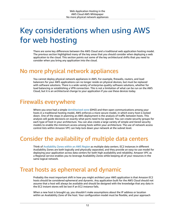# <span id="page-14-0"></span>Key considerations when using AWS for web hosting

There are some key differences between the AWS Cloud and a traditional web application hosting model. The previous section highlighted many of the key areas that you should consider when deploying a web application to the cloud. This section points out some of the key architectural shifts that you need to consider when you bring any application into the cloud.

## <span id="page-14-1"></span>No more physical network appliances

You cannot deploy physical network appliances in AWS. For example, firewalls, routers, and load balancers for your AWS applications can no longer reside on physical devices, but must be replaced with software solutions. There is a wide variety of enterprise-quality software solutions, whether for load balancing or establishing a VPN connection. This is not a limitation of what can be run on the AWS Cloud, but it is an architectural change to your application if you use these devices today.

## <span id="page-14-2"></span>Firewalls everywhere

Where you once had a simple [demilitarized](https://en.wikipedia.org/wiki/DMZ_(computing)) zone (DMZ) and then open communications among your hosts in a traditional hosting model, AWS enforces a more secure model, in which every host is locked down. One of the steps in planning an AWS deployment is the analysis of traffic between hosts. This analysis will guide decisions on exactly what ports need to be opened. You can create security groups for each type of host in your architecture. You can also create a large variety of simple and tiered security models to enable the minimum access among hosts within your architecture. The use of network access control lists within Amazon VPC can help lock down your network at the subnet level.

# <span id="page-14-3"></span>Consider the availability of multiple data centers

Think of [Availability](https://docs.aws.amazon.com/AWSEC2/latest/UserGuide/using-regions-availability-zones.html) Zones within an AWS Region as multiple data centers. EC2 instances in different Availability Zones are both logically and physically separated, and they provide an easy-to-use model for deploying your application across data centers for both high availability and reliability. Amazon VPC as a Regional service enables you to leverage Availability Zones while keeping all of your resources in the same logical network.

## <span id="page-14-4"></span>Treat hosts as ephemeral and dynamic

Probably the most important shift in how you might architect your AWS application is that Amazon EC2 hosts should be considered ephemeral and dynamic. Any application built for the AWS Cloud should not assume that a host will always be available and should be designed with the knowledge that any data in the EC2 instant stores will be lost if an EC2 instance fails.

When a new host is brought up, you shouldn't make assumptions about the IP address or location within an Availability Zone of the host. Your configuration model must be flexible, and your approach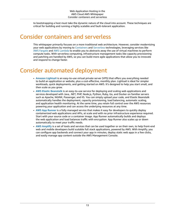to bootstrapping a host must take the dynamic nature of the cloud into account. These techniques are critical for building and running a highly scalable and fault-tolerant application.

# <span id="page-15-0"></span>Consider containers and serverless

This whitepaper primarily focuses on a more traditional web architecture. However, consider modernizing your web applications by moving to [Containers](https://aws.amazon.com/containers/) and [Serverless](https://aws.amazon.com/serverless/) technologies, leveraging services like AWS [Fargate](https://aws.amazon.com/fargate/) and AWS [Lambda](https://aws.amazon.com/lambda/) to enable you to abstracts away the use of virtual machines to perform compute tasks. With serverless computing, infrastructure management tasks like capacity provisioning and patching are handled by AWS, so you can build more agile applications that allow you to innovate and respond to change faster.

## <span id="page-15-1"></span>Consider automated deployment

- **Amazon [Lightsail](https://aws.amazon.com/lightsail/)** is an easy-to-use virtual private server (VPS) that offers you everything needed to build an application or website, plus a cost-effective, monthly plan. Lightsail is ideal for simpler workloads, quick deployments, and getting started on AWS. It's designed to help you start small, and then scale as you grow.
- **AWS Elastic [Beanstalk](https://aws.amazon.com/elasticbeanstalk/)** is an easy-to-use service for deploying and scaling web applications and services developed with Java, .NET, PHP, Node.js, Python, Ruby, Go, and Docker on familiar servers such as Apache, NGINX, Passenger, and IIS. You can simply upload your code, and Elastic Beanstalk automatically handles the deployment, capacity provisioning, load balancing, automatic scaling, and application health monitoring. At the same time, you retain full control over the AWS resources powering your application and can access the underlying resources at any time.
- **AWS App [Runner](https://aws.amazon.com/apprunner/)** is a fully managed service that makes it easy for developers to quickly deploy containerized web applications and APIs, at scale and with no prior infrastructure experience required. Start with your source code or a container image. App Runner automatically builds and deploys the web application and load balances traffic with encryption. App Runner also scales up or down automatically to meet your traffic needs.
- **AWS [Amplify](https://aws.amazon.com/amplify/)** is a set of tools and services that can be used together or on their own, to help front-end web and mobile developers build scalable full stack applications, powered by AWS. With Amplify, you can configure app backends and connect your app in minutes, deploy static web apps in a few clicks, and easily manage app content outside the AWS Management Console.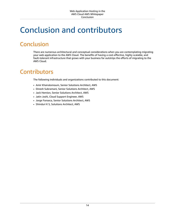# <span id="page-16-0"></span>Conclusion and contributors

# <span id="page-16-1"></span>Conclusion

There are numerous architectural and conceptual considerations when you are contemplating migrating your web application to the AWS Cloud. The benefits of having a cost-effective, highly scalable, and fault-tolerant infrastructure that grows with your business far outstrips the efforts of migrating to the AWS Cloud.

# <span id="page-16-2"></span>**Contributors**

The following individuals and organizations contributed to this document:

- Amir Khairalomoum, Senior Solutions Architect, AWS
- Dinesh Subramani, Senior Solutions Architect, AWS
- Jack Hemion, Senior Solutions Architect, AWS
- Jatin Joshi, Cloud Support Engineer, AWS
- Jorge Fonseca, Senior Solutions Architect, AWS
- Shinduri K S, Solutions Architect, AWS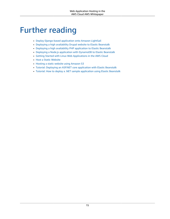# <span id="page-17-0"></span>Further reading

- Deploy [Django-based](https://aws.amazon.com/getting-started/hands-on/deploy-python-application/) application onto Amazon LightSail
- Deploying a high [availability](https://docs.aws.amazon.com/elasticbeanstalk/latest/dg/php-hadrupal-tutorial.html) Drupal website to Elastic Beanstalk
- Deploying a high availability PHP [application](https://docs.aws.amazon.com/elasticbeanstalk/latest/dg/php-ha-tutorial.html) to Elastic Beanstalk
- Deploying a Node.js application with [DynamoDB](https://docs.aws.amazon.com/elasticbeanstalk/latest/dg/nodejs-dynamodb-tutorial.html) to Elastic Beanstalk
- Getting Started with Linux Web [Applications](https://aws.amazon.com/web-applications/gsg-webapps-linux/) in the AWS Cloud
- Host a Static [Website](https://aws.amazon.com/getting-started/hands-on/host-static-website/)
- Hosting a static website using [Amazon](https://docs.aws.amazon.com/AmazonS3/latest/userguide/WebsiteHosting.html) S3
- Tutorial: Deploying an ASP.NET core [application](https://docs.aws.amazon.com/elasticbeanstalk/latest/dg/dotnet-core-tutorial.html) with Elastic Beanstalk
- Tutorial: How to deploy a .NET sample [application](https://docs.aws.amazon.com/elasticbeanstalk/latest/dg/create_deploy_NET.quickstart.html) using Elastic Beanstalk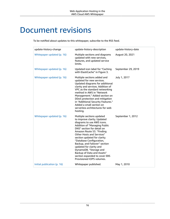# <span id="page-18-0"></span>Document revisions

To be notified about updates to this whitepaper, subscribe to the RSS feed.

| update-history-change       | update-history-description                                                                                                                                                                                                                                                                                                                                                                                                                                          | update-history-date |
|-----------------------------|---------------------------------------------------------------------------------------------------------------------------------------------------------------------------------------------------------------------------------------------------------------------------------------------------------------------------------------------------------------------------------------------------------------------------------------------------------------------|---------------------|
| Whitepaper updated (p. 16)  | Multiple sections and diagrams<br>updated with new services,<br>features, and updated service<br>limits.                                                                                                                                                                                                                                                                                                                                                            | August 20, 2021     |
| Whitepaper updated (p. 16)  | Updated icon label for "Caching<br>with ElastiCache" in Figure 3.                                                                                                                                                                                                                                                                                                                                                                                                   | September 29, 2019  |
| Whitepaper updated (p. 16)  | Multiple sections added and<br>updated for new services.<br>Updated diagrams for additional<br>clarity and services. Addition of<br>VPC as the standard networking<br>method in AWS in "Network<br>Management." Added section on<br>DDoS protection and mitigation<br>in "Additional Security Features."<br>Added a small section on<br>serverless architectures for web<br>hosting.                                                                                | July 1, 2017        |
| Whitepaper updated (p. 16)  | Multiple sections updated<br>to improve clarity. Updated<br>diagrams to use AWS icons.<br><b>Addition of "Managing Public</b><br>DNS" section for detail on<br>Amazon Route 53. "Finding<br>Other Hosts and Services"<br>section updated for clarity.<br>"Database Configuration,<br>Backup, and Failover" section<br>updated for clarity and<br>DynamoDB. "Storage and<br>Backup of Data and Assets"<br>section expanded to cover EBS<br>Provisioned IOPS volumes. | September 1, 2012   |
| Initial publication (p. 16) | Whitepaper published.                                                                                                                                                                                                                                                                                                                                                                                                                                               | May 1, 2010         |